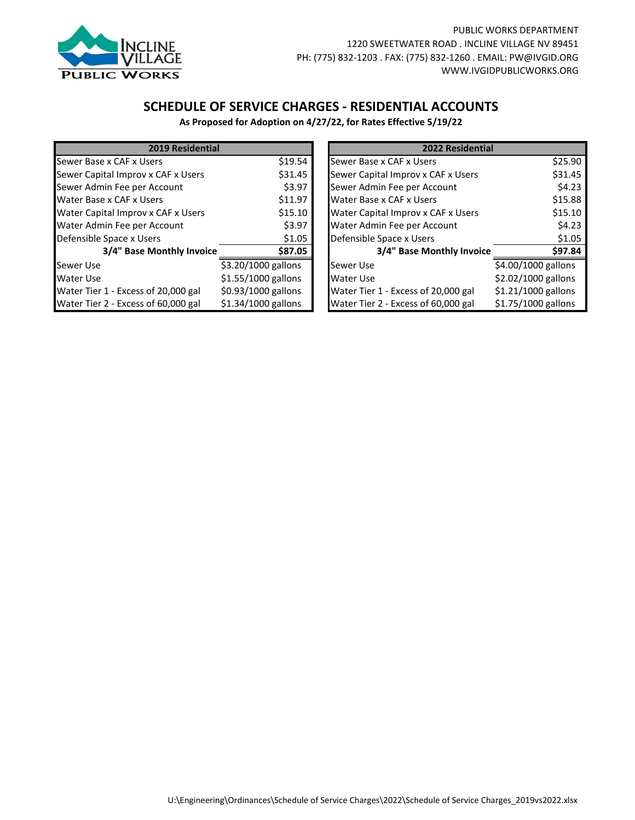

## **SCHEDULE OF SERVICE CHARGES - RESIDENTIAL ACCOUNTS**

**As Proposed for Adoption on 4/27/22, for Rates Effective 5/19/22**

| <b>2019 Residential</b>              |                     | 2022 Residential                              |                      |         |
|--------------------------------------|---------------------|-----------------------------------------------|----------------------|---------|
| Sewer Base x CAF x Users<br>\$19.54  |                     | Sewer Base x CAF x Users                      | \$25.90              |         |
| Sewer Capital Improv x CAF x Users   | \$31.45             | Sewer Capital Improv x CAF x Users            | \$31.45              |         |
| Sewer Admin Fee per Account          | \$3.97              | Sewer Admin Fee per Account                   |                      | \$4.23  |
| Water Base x CAF x Users             | \$11.97             | Water Base x CAF x Users                      | \$15.88              |         |
| Water Capital Improv x CAF x Users   | \$15.10             | Water Capital Improv x CAF x Users<br>\$15.10 |                      |         |
| Water Admin Fee per Account          | \$3.97              | Water Admin Fee per Account                   |                      | \$4.23  |
| Defensible Space x Users             | \$1.05              |                                               |                      | \$1.05  |
| 3/4" Base Monthly Invoice<br>\$87.05 |                     | 3/4" Base Monthly Invoice                     |                      | \$97.84 |
| Sewer Use                            | \$3.20/1000 gallons | Sewer Use                                     | \$4.00/1000 gallons  |         |
| <b>Water Use</b>                     | \$1.55/1000 gallons | Water Use                                     | \$2.02/1000 gallons  |         |
| Water Tier 1 - Excess of 20,000 gal  | \$0.93/1000 gallons | Water Tier 1 - Excess of 20,000 gal           | $$1.21/1000$ gallons |         |
| Water Tier 2 - Excess of 60,000 gal  | \$1.34/1000 gallons | Water Tier 2 - Excess of 60,000 gal           | \$1.75/1000 gallons  |         |

| 2019 Residential           |                     |  | 2022 Residential                    |                     |
|----------------------------|---------------------|--|-------------------------------------|---------------------|
| x CAF x Users              | \$19.54             |  | Sewer Base x CAF x Users            | \$25.90             |
| tal Improv x CAF x Users   | \$31.45             |  | Sewer Capital Improv x CAF x Users  | \$31.45             |
| in Fee per Account         | \$3.97              |  | Sewer Admin Fee per Account         | \$4.23              |
| x CAF x Users              | \$11.97             |  | Water Base x CAF x Users            | \$15.88             |
| tal Improv x CAF x Users   | \$15.10             |  | Water Capital Improv x CAF x Users  | \$15.10             |
| iin Fee per Account        | \$3.97              |  | Water Admin Fee per Account         | \$4.23              |
| Space x Users              | \$1.05              |  | Defensible Space x Users            | \$1.05              |
| 3/4" Base Monthly Invoice  | \$87.05             |  | 3/4" Base Monthly Invoice           | \$97.84             |
|                            | \$3.20/1000 gallons |  | Sewer Use                           | \$4.00/1000 gallons |
|                            | \$1.55/1000 gallons |  | Water Use                           | \$2.02/1000 gallons |
| 1 - Excess of 20,000 gal   | \$0.93/1000 gallons |  | Water Tier 1 - Excess of 20,000 gal | \$1.21/1000 gallons |
| $2 - Excess of 60,000 gal$ | \$1.34/1000 gallons |  | Water Tier 2 - Excess of 60,000 gal | \$1.75/1000 gallons |